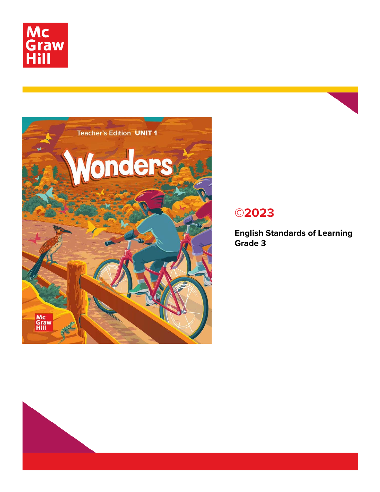



## **©2023**

**English Standards of Learning Grade 3**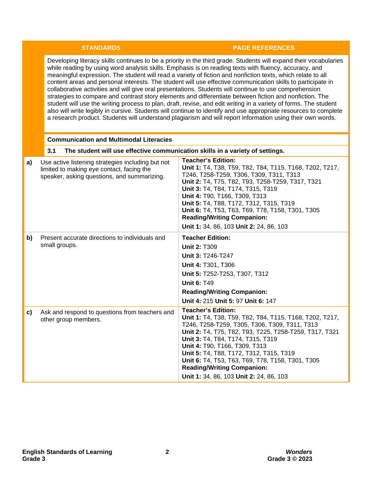## **STANDARDS PAGE REFERENCES**

Developing literacy skills continues to be a priority in the third grade. Students will expand their vocabularies while reading by using word analysis skills. Emphasis is on reading texts with fluency, accuracy, and meaningful expression. The student will read a variety of fiction and nonfiction texts, which relate to all content areas and personal interests. The student will use effective communication skills to participate in collaborative activities and will give oral presentations. Students will continue to use comprehension strategies to compare and contrast story elements and differentiate between fiction and nonfiction. The student will use the writing process to plan, draft, revise, and edit writing in a variety of forms. The student also will write legibly in cursive. Students will continue to identify and use appropriate resources to complete a research product. Students will understand plagiarism and will report information using their own words.

## **Communication and Multimodal Literacies**

|    | 3.1<br>The student will use effective communication skills in a variety of settings.                                                          |                                                                                                                                                                                                                                                                                                                                                                                                                                                      |
|----|-----------------------------------------------------------------------------------------------------------------------------------------------|------------------------------------------------------------------------------------------------------------------------------------------------------------------------------------------------------------------------------------------------------------------------------------------------------------------------------------------------------------------------------------------------------------------------------------------------------|
| a) | Use active listening strategies including but not<br>limited to making eye contact, facing the<br>speaker, asking questions, and summarizing. | <b>Teacher's Edition:</b><br>Unit 1: T4, T38, T59, T82, T84, T115, T168, T202, T217,<br>T246, T258-T259, T306, T309, T311, T313<br>Unit 2: T4, T75, T82, T93, T258-T259, T317, T321<br>Unit 3: T4, T84, T174, T315, T319<br>Unit 4: T90, T166, T309, T313<br>Unit 5: T4, T88, T172, T312, T315, T319<br>Unit 6: T4, T53, T63, T69, T78, T158, T301, T305<br><b>Reading/Writing Companion:</b><br>Unit 1: 34, 86, 103 Unit 2: 24, 86, 103             |
| b) | Present accurate directions to individuals and<br>small groups.                                                                               | <b>Teacher Edition:</b><br><b>Unit 2: T309</b><br>Unit 3: T246-T247<br>Unit 4: T301, T306<br>Unit 5: T252-T253, T307, T312<br><b>Unit 6: T49</b><br><b>Reading/Writing Companion:</b><br>Unit 4: 215 Unit 5: 97 Unit 6: 147                                                                                                                                                                                                                          |
| C) | Ask and respond to questions from teachers and<br>other group members.                                                                        | <b>Teacher's Edition:</b><br>Unit 1: T4, T38, T59, T82, T84, T115, T168, T202, T217,<br>T246, T258-T259, T305, T306, T309, T311, T313<br>Unit 2: T4, T75, T82, T93, T225, T258-T259, T317, T321<br>Unit 3: T4, T84, T174, T315, T319<br>Unit 4: T90, T166, T309, T313<br>Unit 5: T4, T88, T172, T312, T315, T319<br>Unit 6: T4, T53, T63, T69, T78, T158, T301, T305<br><b>Reading/Writing Companion:</b><br>Unit 1: 34, 86, 103 Unit 2: 24, 86, 103 |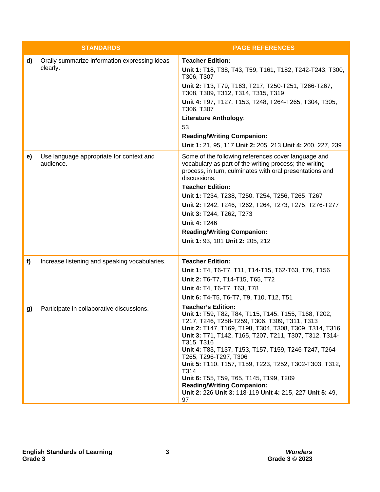|    | <b>STANDARDS</b>                                          | <b>PAGE REFERENCES</b>                                                                                                                                                                                                                                                                                                                                                                                                                                                                                                                                                     |
|----|-----------------------------------------------------------|----------------------------------------------------------------------------------------------------------------------------------------------------------------------------------------------------------------------------------------------------------------------------------------------------------------------------------------------------------------------------------------------------------------------------------------------------------------------------------------------------------------------------------------------------------------------------|
| d) | Orally summarize information expressing ideas<br>clearly. | <b>Teacher Edition:</b><br>Unit 1: T18, T38, T43, T59, T161, T182, T242-T243, T300,<br>T306, T307<br>Unit 2: T13, T79, T163, T217, T250-T251, T266-T267,<br>T308, T309, T312, T314, T315, T319                                                                                                                                                                                                                                                                                                                                                                             |
|    |                                                           | Unit 4: T97, T127, T153, T248, T264-T265, T304, T305,<br>T306, T307                                                                                                                                                                                                                                                                                                                                                                                                                                                                                                        |
|    |                                                           | <b>Literature Anthology:</b><br>53                                                                                                                                                                                                                                                                                                                                                                                                                                                                                                                                         |
|    |                                                           | <b>Reading/Writing Companion:</b><br>Unit 1: 21, 95, 117 Unit 2: 205, 213 Unit 4: 200, 227, 239                                                                                                                                                                                                                                                                                                                                                                                                                                                                            |
| e) | Use language appropriate for context and<br>audience.     | Some of the following references cover language and<br>vocabulary as part of the writing process; the writing<br>process, in turn, culminates with oral presentations and<br>discussions.                                                                                                                                                                                                                                                                                                                                                                                  |
|    |                                                           | <b>Teacher Edition:</b>                                                                                                                                                                                                                                                                                                                                                                                                                                                                                                                                                    |
|    |                                                           | Unit 1: T234, T238, T250, T254, T256, T265, T267<br>Unit 2: T242, T246, T262, T264, T273, T275, T276-T277                                                                                                                                                                                                                                                                                                                                                                                                                                                                  |
|    |                                                           | Unit 3: T244, T262, T273                                                                                                                                                                                                                                                                                                                                                                                                                                                                                                                                                   |
|    |                                                           | <b>Unit 4: T246</b>                                                                                                                                                                                                                                                                                                                                                                                                                                                                                                                                                        |
|    |                                                           | <b>Reading/Writing Companion:</b>                                                                                                                                                                                                                                                                                                                                                                                                                                                                                                                                          |
|    |                                                           | Unit 1: 93, 101 Unit 2: 205, 212                                                                                                                                                                                                                                                                                                                                                                                                                                                                                                                                           |
| f) | Increase listening and speaking vocabularies.             | <b>Teacher Edition:</b>                                                                                                                                                                                                                                                                                                                                                                                                                                                                                                                                                    |
|    |                                                           | Unit 1: T4, T6-T7, T11, T14-T15, T62-T63, T76, T156                                                                                                                                                                                                                                                                                                                                                                                                                                                                                                                        |
|    |                                                           | Unit 2: T6-T7, T14-T15, T65, T72                                                                                                                                                                                                                                                                                                                                                                                                                                                                                                                                           |
|    |                                                           | Unit 4: T4, T6-T7, T63, T78                                                                                                                                                                                                                                                                                                                                                                                                                                                                                                                                                |
|    |                                                           | Unit 6: T4-T5, T6-T7, T9, T10, T12, T51                                                                                                                                                                                                                                                                                                                                                                                                                                                                                                                                    |
| g) | Participate in collaborative discussions.                 | <b>Teacher's Edition:</b><br>Unit 1: T59, T82, T84, T115, T145, T155, T168, T202,<br>Т217, Т246, Т258-Т259, Т306, Т309, Т311, Т313<br>Unit 2: T147, T169, T198, T304, T308, T309, T314, T316<br>Unit 3: T71, T142, T165, T207, T211, T307, T312, T314-<br>T315, T316<br>Unit 4: T83, T137, T153, T157, T159, T246-T247, T264-<br>T265, T296-T297, T306<br>Unit 5: T110, T157, T159, T223, T252, T302-T303, T312,<br>T314<br>Unit 6: T55, T59, T65, T145, T199, T209<br><b>Reading/Writing Companion:</b><br>Unit 2: 226 Unit 3: 118-119 Unit 4: 215, 227 Unit 5: 49,<br>97 |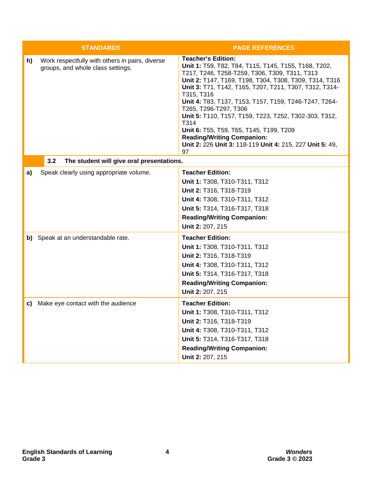|    | <b>STANDARDS</b>                                                                     | <b>PAGE REFERENCES</b>                                                                                                                                                                                                                                                                                                                                                                                                                                                                                                                                                    |
|----|--------------------------------------------------------------------------------------|---------------------------------------------------------------------------------------------------------------------------------------------------------------------------------------------------------------------------------------------------------------------------------------------------------------------------------------------------------------------------------------------------------------------------------------------------------------------------------------------------------------------------------------------------------------------------|
| h) | Work respectfully with others in pairs, diverse<br>groups, and whole class settings. | <b>Teacher's Edition:</b><br>Unit 1: T59, T82, T84, T115, T145, T155, T168, T202,<br>T217, T246, T258-T259, T306, T309, T311, T313<br>Unit 2: T147, T169, T198, T304, T308, T309, T314, T316<br>Unit 3: T71, T142, T165, T207, T211, T307, T312, T314-<br>T315, T316<br>Unit 4: T83, T137, T153, T157, T159, T246-T247, T264-<br>T265, T296-T297, T306<br>Unit 5: T110, T157, T159, T223, T252, T302-303, T312,<br>T314<br>Unit 6: T55, T59, T65, T145, T199, T209<br><b>Reading/Writing Companion:</b><br>Unit 2: 226 Unit 3: 118-119 Unit 4: 215, 227 Unit 5: 49,<br>97 |
|    | 3.2<br>The student will give oral presentations.                                     |                                                                                                                                                                                                                                                                                                                                                                                                                                                                                                                                                                           |
| a) | Speak clearly using appropriate volume.                                              | <b>Teacher Edition:</b><br>Unit 1: T308, T310-T311, T312<br>Unit 2: T316, T318-T319<br>Unit 4: T308, T310-T311, T312<br>Unit 5: T314, T316-T317, T318<br><b>Reading/Writing Companion:</b><br>Unit 2: 207, 215                                                                                                                                                                                                                                                                                                                                                            |
|    | b) Speak at an understandable rate.                                                  | <b>Teacher Edition:</b><br>Unit 1: T308, T310-T311, T312<br>Unit 2: T316, T318-T319<br>Unit 4: T308, T310-T311, T312<br>Unit 5: T314, T316-T317, T318<br><b>Reading/Writing Companion:</b><br>Unit 2: 207, 215                                                                                                                                                                                                                                                                                                                                                            |
|    | c) Make eye contact with the audience                                                | <b>Teacher Edition:</b><br>Unit 1: T308, T310-T311, T312<br>Unit 2: T316, T318-T319<br>Unit 4: T308, T310-T311, T312<br>Unit 5: T314, T316-T317, T318<br><b>Reading/Writing Companion:</b><br>Unit 2: 207, 215                                                                                                                                                                                                                                                                                                                                                            |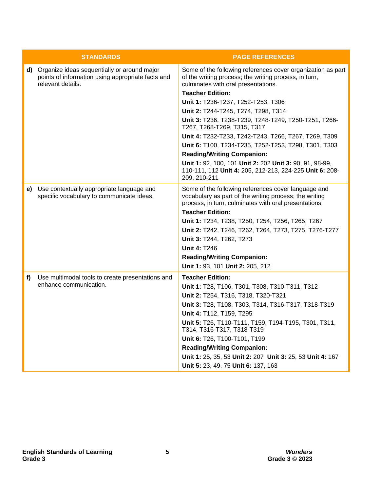|    | <b>STANDARDS</b>                                                                                                         | <b>PAGE REFERENCES</b>                                                                                                                                                                                                                                                                                                                     |
|----|--------------------------------------------------------------------------------------------------------------------------|--------------------------------------------------------------------------------------------------------------------------------------------------------------------------------------------------------------------------------------------------------------------------------------------------------------------------------------------|
|    | d) Organize ideas sequentially or around major<br>points of information using appropriate facts and<br>relevant details. | Some of the following references cover organization as part<br>of the writing process; the writing process, in turn,<br>culminates with oral presentations.                                                                                                                                                                                |
|    |                                                                                                                          | <b>Teacher Edition:</b>                                                                                                                                                                                                                                                                                                                    |
|    |                                                                                                                          | Unit 1: T236-T237, T252-T253, T306<br>Unit 2: T244-T245, T274, T298, T314                                                                                                                                                                                                                                                                  |
|    |                                                                                                                          | Unit 3: T236, T238-T239, T248-T249, T250-T251, T266-<br>T267, T268-T269, T315, T317                                                                                                                                                                                                                                                        |
|    |                                                                                                                          | Unit 4: T232-T233, T242-T243, T266, T267, T269, T309                                                                                                                                                                                                                                                                                       |
|    |                                                                                                                          | Unit 6: T100, T234-T235, T252-T253, T298, T301, T303                                                                                                                                                                                                                                                                                       |
|    |                                                                                                                          | <b>Reading/Writing Companion:</b>                                                                                                                                                                                                                                                                                                          |
|    |                                                                                                                          | Unit 1: 92, 100, 101 Unit 2: 202 Unit 3: 90, 91, 98-99,<br>110-111, 112 Unit 4: 205, 212-213, 224-225 Unit 6: 208-<br>209, 210-211                                                                                                                                                                                                         |
| e) | Use contextually appropriate language and<br>specific vocabulary to communicate ideas.                                   | Some of the following references cover language and<br>vocabulary as part of the writing process; the writing<br>process, in turn, culminates with oral presentations.<br><b>Teacher Edition:</b><br>Unit 1: T234, T238, T250, T254, T256, T265, T267<br>Unit 2: T242, T246, T262, T264, T273, T275, T276-T277<br>Unit 3: T244, T262, T273 |
|    |                                                                                                                          | <b>Unit 4: T246</b><br><b>Reading/Writing Companion:</b>                                                                                                                                                                                                                                                                                   |
|    |                                                                                                                          | Unit 1: 93, 101 Unit 2: 205, 212                                                                                                                                                                                                                                                                                                           |
| f) | Use multimodal tools to create presentations and<br>enhance communication.                                               | <b>Teacher Edition:</b><br>Unit 1: T28, T106, T301, T308, T310-T311, T312<br>Unit 2: T254, T316, T318, T320-T321<br>Unit 3: T28, T108, T303, T314, T316-T317, T318-T319                                                                                                                                                                    |
|    |                                                                                                                          | Unit 4: T112, T159, T295<br>Unit 5: T26, T110-T111, T159, T194-T195, T301, T311,<br>T314, T316-T317, T318-T319                                                                                                                                                                                                                             |
|    |                                                                                                                          | Unit 6: T26, T100-T101, T199                                                                                                                                                                                                                                                                                                               |
|    |                                                                                                                          | <b>Reading/Writing Companion:</b>                                                                                                                                                                                                                                                                                                          |
|    |                                                                                                                          | Unit 1: 25, 35, 53 Unit 2: 207 Unit 3: 25, 53 Unit 4: 167                                                                                                                                                                                                                                                                                  |
|    |                                                                                                                          | Unit 5: 23, 49, 75 Unit 6: 137, 163                                                                                                                                                                                                                                                                                                        |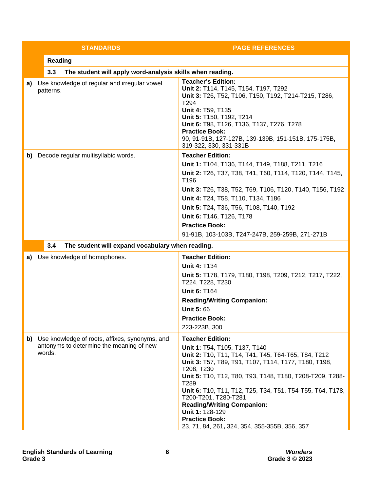|    | <b>STANDARDS</b>                                                                                        | <b>PAGE REFERENCES</b>                                                                                                                                                                                                                                                                                                                                                                                                                                                                       |
|----|---------------------------------------------------------------------------------------------------------|----------------------------------------------------------------------------------------------------------------------------------------------------------------------------------------------------------------------------------------------------------------------------------------------------------------------------------------------------------------------------------------------------------------------------------------------------------------------------------------------|
|    | <b>Reading</b>                                                                                          |                                                                                                                                                                                                                                                                                                                                                                                                                                                                                              |
|    | The student will apply word-analysis skills when reading.<br>3.3                                        |                                                                                                                                                                                                                                                                                                                                                                                                                                                                                              |
| a) | Use knowledge of regular and irregular vowel<br>patterns.                                               | <b>Teacher's Edition:</b><br>Unit 2: T114, T145, T154, T197, T292<br>Unit 3: T26, T52, T106, T150, T192, T214-T215, T286,<br>T <sub>294</sub><br>Unit 4: T59, T135<br>Unit 5: T150, T192, T214<br>Unit 6: T98, T126, T136, T137, T276, T278<br><b>Practice Book:</b><br>90, 91-91B, 127-127B, 139-139B, 151-151B, 175-175B,<br>319-322, 330, 331-331B                                                                                                                                        |
|    | b) Decode regular multisyllabic words.                                                                  | <b>Teacher Edition:</b><br>Unit 1: T104, T136, T144, T149, T188, T211, T216<br>Unit 2: T26, T37, T38, T41, T60, T114, T120, T144, T145,<br>T196<br>Unit 3: T26, T38, T52, T69, T106, T120, T140, T156, T192<br>Unit 4: T24, T58, T110, T134, T186<br>Unit 5: T24, T36, T56, T108, T140, T192<br>Unit 6: T146, T126, T178<br><b>Practice Book:</b><br>91-91B, 103-103B, T247-247B, 259-259B, 271-271B                                                                                         |
|    | 3.4<br>The student will expand vocabulary when reading.                                                 |                                                                                                                                                                                                                                                                                                                                                                                                                                                                                              |
| a) | Use knowledge of homophones.                                                                            | <b>Teacher Edition:</b><br><b>Unit 4: T134</b><br>Unit 5: T178, T179, T180, T198, T209, T212, T217, T222,<br>T224, T228, T230<br><b>Unit 6: T164</b><br><b>Reading/Writing Companion:</b><br><b>Unit 5:66</b><br><b>Practice Book:</b><br>223-223B, 300                                                                                                                                                                                                                                      |
|    | b) Use knowledge of roots, affixes, synonyms, and<br>antonyms to determine the meaning of new<br>words. | <b>Teacher Edition:</b><br>Unit 1: T54, T105, T137, T140<br>Unit 2: T10, T11, T14, T41, T45, T64-T65, T84, T212<br>Unit 3: T57, T89, T91, T107, T114, T177, T180, T198,<br>T208, T230<br>Unit 5: T10, T12, T80, T93, T148, T180, T208-T209, T288-<br>T <sub>289</sub><br>Unit 6: T10, T11, T12, T25, T34, T51, T54-T55, T64, T178,<br>T200-T201, T280-T281<br><b>Reading/Writing Companion:</b><br>Unit 1: 128-129<br><b>Practice Book:</b><br>23, 71, 84, 261, 324, 354, 355-355B, 356, 357 |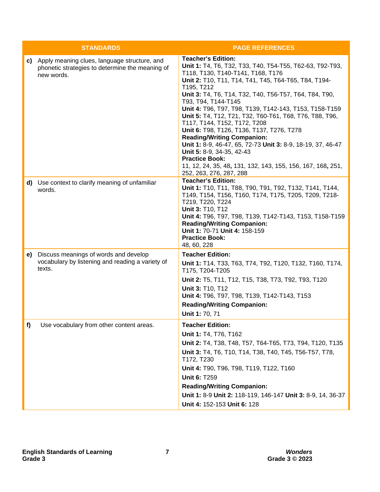|    | <b>STANDARDS</b>                                                                                                 | <b>PAGE REFERENCES</b>                                                                                                                                                                                                                                                                                                                                                                                                                                                                                                                                                                                                                                                                                                                  |
|----|------------------------------------------------------------------------------------------------------------------|-----------------------------------------------------------------------------------------------------------------------------------------------------------------------------------------------------------------------------------------------------------------------------------------------------------------------------------------------------------------------------------------------------------------------------------------------------------------------------------------------------------------------------------------------------------------------------------------------------------------------------------------------------------------------------------------------------------------------------------------|
|    | c) Apply meaning clues, language structure, and<br>phonetic strategies to determine the meaning of<br>new words. | <b>Teacher's Edition:</b><br>Unit 1: T4, T6, T32, T33, T40, T54-T55, T62-63, T92-T93,<br>T118, T130, T140-T141, T168, T176<br>Unit 2: T10, T11, T14, T41, T45, T64-T65, T84, T194-<br>T195, T212<br>Unit 3: T4, T6, T14, T32, T40, T56-T57, T64, T84, T90,<br>T93, T94, T144-T145<br>Unit 4: T96, T97, T98, T139, T142-143, T153, T158-T159<br>Unit 5: T4, T12, T21, T32, T60-T61, T68, T76, T88, T96,<br>T117, T144, T152, T172, T208<br>Unit 6: T98, T126, T136, T137, T276, T278<br><b>Reading/Writing Companion:</b><br>Unit 1: 8-9, 46-47, 65, 72-73 Unit 3: 8-9, 18-19, 37, 46-47<br>Unit 5: 8-9, 34-35, 42-43<br><b>Practice Book:</b><br>11, 12, 24, 35, 48, 131, 132, 143, 155, 156, 167, 168, 251,<br>252, 263, 276, 287, 288 |
|    | d) Use context to clarify meaning of unfamiliar<br>words.                                                        | <b>Teacher's Edition:</b><br>Unit 1: T10, T11, T88, T90, T91, T92, T132, T141, T144,<br>T149, T154, T156, T160, T174, T175, T205, T209, T218-<br>T219, T220, T224<br>Unit 3: T10, T12<br>Unit 4: T96, T97, T98, T139, T142-T143, T153, T158-T159<br><b>Reading/Writing Companion:</b><br>Unit 1: 70-71 Unit 4: 158-159<br><b>Practice Book:</b><br>48, 60, 228                                                                                                                                                                                                                                                                                                                                                                          |
| e) | Discuss meanings of words and develop<br>vocabulary by listening and reading a variety of<br>texts.              | <b>Teacher Edition:</b><br>Unit 1: T14, T33, T63, T74, T92, T120, T132, T160, T174,<br>T175, T204-T205<br>Unit 2: T5, T11, T12, T15, T38, T73, T92, T93, T120<br>Unit 3: T10, T12<br>Unit 4: T96, T97, T98, T139, T142-T143, T153<br><b>Reading/Writing Companion:</b><br>Unit 1: 70, 71                                                                                                                                                                                                                                                                                                                                                                                                                                                |
| f) | Use vocabulary from other content areas.                                                                         | <b>Teacher Edition:</b><br>Unit 1: T4, T76, T162<br>Unit 2: T4, T38, T48, T57, T64-T65, T73, T94, T120, T135<br>Unit 3: T4, T6, T10, T14, T38, T40, T45, T56-T57, T78,<br>T172, T230<br>Unit 4: T90, T96, T98, T119, T122, T160<br><b>Unit 6: T259</b><br><b>Reading/Writing Companion:</b><br>Unit 1: 8-9 Unit 2: 118-119, 146-147 Unit 3: 8-9, 14, 36-37<br>Unit 4: 152-153 Unit 6: 128                                                                                                                                                                                                                                                                                                                                               |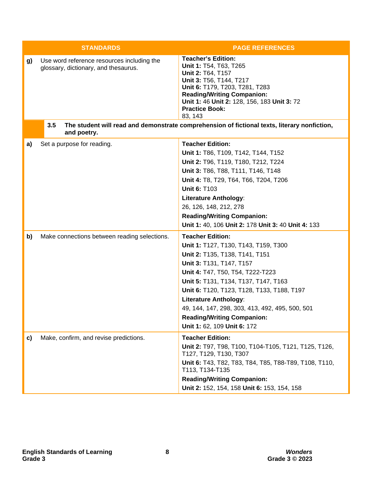|    | <b>STANDARDS</b>                                                                   | <b>PAGE REFERENCES</b>                                                                                                                                                                                                                                                                                                                                                                                         |
|----|------------------------------------------------------------------------------------|----------------------------------------------------------------------------------------------------------------------------------------------------------------------------------------------------------------------------------------------------------------------------------------------------------------------------------------------------------------------------------------------------------------|
| g) | Use word reference resources including the<br>glossary, dictionary, and thesaurus. | <b>Teacher's Edition:</b><br>Unit 1: T54, T63, T265<br>Unit 2: T64, T157<br>Unit 3: T56, T144, T217<br>Unit 6: T179, T203, T281, T283<br><b>Reading/Writing Companion:</b><br>Unit 1: 46 Unit 2: 128, 156, 183 Unit 3: 72<br><b>Practice Book:</b><br>83, 143                                                                                                                                                  |
|    | 3.5<br>and poetry.                                                                 | The student will read and demonstrate comprehension of fictional texts, literary nonfiction,                                                                                                                                                                                                                                                                                                                   |
| a) | Set a purpose for reading.                                                         | <b>Teacher Edition:</b><br>Unit 1: T86, T109, T142, T144, T152<br>Unit 2: T96, T119, T180, T212, T224<br>Unit 3: T86, T88, T111, T146, T148<br>Unit 4: T8, T29, T64, T66, T204, T206<br><b>Unit 6: T103</b><br><b>Literature Anthology:</b><br>26, 126, 148, 212, 278<br><b>Reading/Writing Companion:</b><br>Unit 1: 40, 106 Unit 2: 178 Unit 3: 40 Unit 4: 133                                               |
| b) | Make connections between reading selections.                                       | <b>Teacher Edition:</b><br>Unit 1: T127, T130, T143, T159, T300<br>Unit 2: T135, T138, T141, T151<br>Unit 3: T131, T147, T157<br>Unit 4: T47, T50, T54, T222-T223<br>Unit 5: T131, T134, T137, T147, T163<br>Unit 6: T120, T123, T128, T133, T188, T197<br><b>Literature Anthology:</b><br>49, 144, 147, 298, 303, 413, 492, 495, 500, 501<br><b>Reading/Writing Companion:</b><br>Unit 1: 62, 109 Unit 6: 172 |
| c) | Make, confirm, and revise predictions.                                             | <b>Teacher Edition:</b><br>Unit 2: T97, T98, T100, T104-T105, T121, T125, T126,<br>T127, T129, T130, T307<br>Unit 6: T43, T82, T83, T84, T85, T88-T89, T108, T110,<br>T113, T134-T135<br><b>Reading/Writing Companion:</b><br>Unit 2: 152, 154, 158 Unit 6: 153, 154, 158                                                                                                                                      |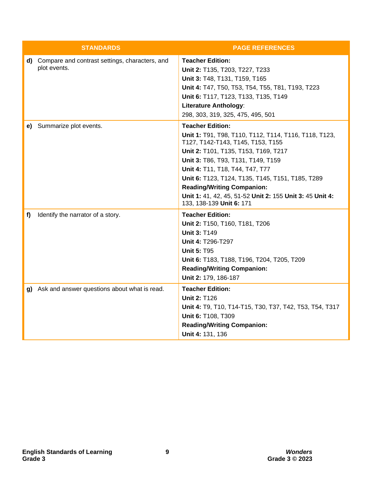|    | <b>STANDARDS</b>                                                  | <b>PAGE REFERENCES</b>                                                                                                                                                                                                                                                                                                                                                                                                  |
|----|-------------------------------------------------------------------|-------------------------------------------------------------------------------------------------------------------------------------------------------------------------------------------------------------------------------------------------------------------------------------------------------------------------------------------------------------------------------------------------------------------------|
|    | d) Compare and contrast settings, characters, and<br>plot events. | <b>Teacher Edition:</b><br>Unit 2: T135, T203, T227, T233<br>Unit 3: T48, T131, T159, T165<br>Unit 4: T47, T50, T53, T54, T55, T81, T193, T223<br>Unit 6: T117, T123, T133, T135, T149<br><b>Literature Anthology:</b><br>298, 303, 319, 325, 475, 495, 501                                                                                                                                                             |
|    | e) Summarize plot events.                                         | <b>Teacher Edition:</b><br>Unit 1: T91, T98, T110, T112, T114, T116, T118, T123,<br>T127, T142-T143, T145, T153, T155<br>Unit 2: T101, T135, T153, T169, T217<br>Unit 3: T86, T93, T131, T149, T159<br>Unit 4: T11, T18, T44, T47, T77<br>Unit 6: T123, T124, T135, T145, T151, T185, T289<br><b>Reading/Writing Companion:</b><br>Unit 1: 41, 42, 45, 51-52 Unit 2: 155 Unit 3: 45 Unit 4:<br>133, 138-139 Unit 6: 171 |
| f) | Identify the narrator of a story.                                 | <b>Teacher Edition:</b><br>Unit 2: T150, T160, T181, T206<br><b>Unit 3: T149</b><br>Unit 4: T296-T297<br><b>Unit 5: T95</b><br>Unit 6: T183, T188, T196, T204, T205, T209<br><b>Reading/Writing Companion:</b><br>Unit 2: 179, 186-187                                                                                                                                                                                  |
|    | g) Ask and answer questions about what is read.                   | <b>Teacher Edition:</b><br><b>Unit 2: T126</b><br>Unit 4: T9, T10, T14-T15, T30, T37, T42, T53, T54, T317<br>Unit 6: T108, T309<br><b>Reading/Writing Companion:</b><br>Unit 4: 131, 136                                                                                                                                                                                                                                |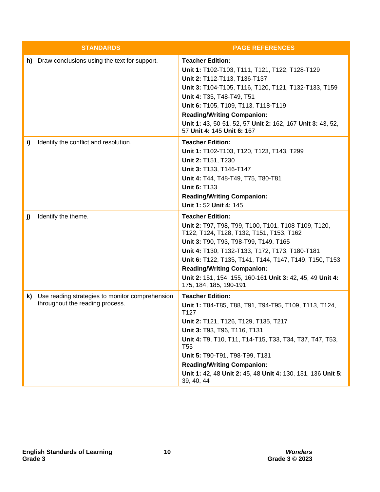|    | <b>STANDARDS</b>                                                                   | <b>PAGE REFERENCES</b>                                                                                                                                                                                                                                                                                                                                                                                      |
|----|------------------------------------------------------------------------------------|-------------------------------------------------------------------------------------------------------------------------------------------------------------------------------------------------------------------------------------------------------------------------------------------------------------------------------------------------------------------------------------------------------------|
|    | h) Draw conclusions using the text for support.                                    | <b>Teacher Edition:</b><br>Unit 1: T102-T103, T111, T121, T122, T128-T129<br>Unit 2: T112-T113, T136-T137<br>Unit 3: T104-T105, T116, T120, T121, T132-T133, T159<br>Unit 4: T35, T48-T49, T51<br>Unit 6: T105, T109, T113, T118-T119<br><b>Reading/Writing Companion:</b><br>Unit 1: 43, 50-51, 52, 57 Unit 2: 162, 167 Unit 3: 43, 52,<br>57 Unit 4: 145 Unit 6: 167                                      |
| i) | Identify the conflict and resolution.                                              | <b>Teacher Edition:</b><br>Unit 1: T102-T103, T120, T123, T143, T299<br>Unit 2: T151, T230<br>Unit 3: T133, T146-T147<br>Unit 4: T44, T48-T49, T75, T80-T81<br><b>Unit 6: T133</b><br><b>Reading/Writing Companion:</b><br>Unit 1: 52 Unit 4: 145                                                                                                                                                           |
| j) | Identify the theme.                                                                | <b>Teacher Edition:</b><br>Unit 2: T97, T98, T99, T100, T101, T108-T109, T120,<br>T122, T124, T128, T132, T151, T153, T162<br>Unit 3: T90, T93, T98-T99, T149, T165<br>Unit 4: T130, T132-T133, T172, T173, T180-T181<br>Unit 6: T122, T135, T141, T144, T147, T149, T150, T153<br><b>Reading/Writing Companion:</b><br>Unit 2: 151, 154, 155, 160-161 Unit 3: 42, 45, 49 Unit 4:<br>175, 184, 185, 190-191 |
| k) | Use reading strategies to monitor comprehension<br>throughout the reading process. | <b>Teacher Edition:</b><br>Unit 1: T84-T85, T88, T91, T94-T95, T109, T113, T124,<br>T <sub>127</sub><br>Unit 2: T121, T126, T129, T135, T217<br>Unit 3: T93, T96, T116, T131<br>Unit 4: T9, T10, T11, T14-T15, T33, T34, T37, T47, T53,<br>T55<br>Unit 5: T90-T91, T98-T99, T131<br><b>Reading/Writing Companion:</b><br>Unit 1: 42, 48 Unit 2: 45, 48 Unit 4: 130, 131, 136 Unit 5:<br>39, 40, 44          |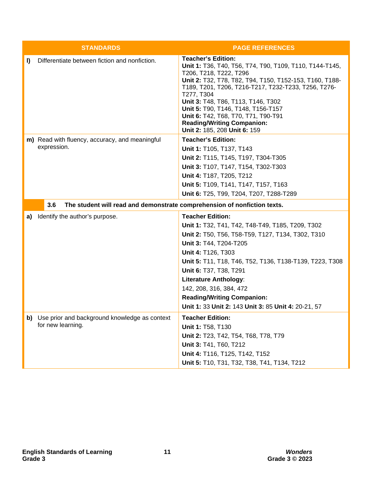|    | <b>STANDARDS</b>                                                                | <b>PAGE REFERENCES</b>                                                                                                                                                                                                                                                                                                                                                                                                                 |
|----|---------------------------------------------------------------------------------|----------------------------------------------------------------------------------------------------------------------------------------------------------------------------------------------------------------------------------------------------------------------------------------------------------------------------------------------------------------------------------------------------------------------------------------|
| I) | Differentiate between fiction and nonfiction.                                   | <b>Teacher's Edition:</b><br>Unit 1: T36, T40, T56, T74, T90, T109, T110, T144-T145,<br>T206, T218, T222, T296<br>Unit 2: T32, T78, T82, T94, T150, T152-153, T160, T188-<br>T189, T201, T206, T216-T217, T232-T233, T256, T276-<br>T277, T304<br>Unit 3: T48, T86, T113, T146, T302<br>Unit 5: T90, T146, T148, T156-T157<br>Unit 6: T42, T68, T70, T71, T90-T91<br><b>Reading/Writing Companion:</b><br>Unit 2: 185, 208 Unit 6: 159 |
|    | m) Read with fluency, accuracy, and meaningful                                  | <b>Teacher's Edition:</b>                                                                                                                                                                                                                                                                                                                                                                                                              |
|    | expression.                                                                     | Unit 1: T105, T137, T143                                                                                                                                                                                                                                                                                                                                                                                                               |
|    |                                                                                 | Unit 2: T115, T145, T197, T304-T305                                                                                                                                                                                                                                                                                                                                                                                                    |
|    |                                                                                 | Unit 3: T107, T147, T154, T302-T303                                                                                                                                                                                                                                                                                                                                                                                                    |
|    |                                                                                 | Unit 4: T187, T205, T212                                                                                                                                                                                                                                                                                                                                                                                                               |
|    |                                                                                 | Unit 5: T109, T141, T147, T157, T163                                                                                                                                                                                                                                                                                                                                                                                                   |
|    |                                                                                 | Unit 6: T25, T99, T204, T207, T288-T289                                                                                                                                                                                                                                                                                                                                                                                                |
|    | 3.6<br>The student will read and demonstrate comprehension of nonfiction texts. |                                                                                                                                                                                                                                                                                                                                                                                                                                        |
| a) | Identify the author's purpose.                                                  | <b>Teacher Edition:</b>                                                                                                                                                                                                                                                                                                                                                                                                                |
|    |                                                                                 | Unit 1: T32, T41, T42, T48-T49, T185, T209, T302                                                                                                                                                                                                                                                                                                                                                                                       |
|    |                                                                                 | Unit 2: T50, T56, T58-T59, T127, T134, T302, T310                                                                                                                                                                                                                                                                                                                                                                                      |
|    |                                                                                 | Unit 3: T44, T204-T205                                                                                                                                                                                                                                                                                                                                                                                                                 |
|    |                                                                                 | Unit 4: T126, T303                                                                                                                                                                                                                                                                                                                                                                                                                     |
|    |                                                                                 | Unit 5: T11, T18, T46, T52, T136, T138-T139, T223, T308                                                                                                                                                                                                                                                                                                                                                                                |
|    |                                                                                 | Unit 6: T37, T38, T291                                                                                                                                                                                                                                                                                                                                                                                                                 |
|    |                                                                                 | <b>Literature Anthology:</b>                                                                                                                                                                                                                                                                                                                                                                                                           |
|    |                                                                                 | 142, 208, 316, 384, 472                                                                                                                                                                                                                                                                                                                                                                                                                |
|    |                                                                                 | <b>Reading/Writing Companion:</b><br>Unit 1: 33 Unit 2: 143 Unit 3: 85 Unit 4: 20-21, 57                                                                                                                                                                                                                                                                                                                                               |
|    |                                                                                 |                                                                                                                                                                                                                                                                                                                                                                                                                                        |
|    | b) Use prior and background knowledge as context<br>for new learning.           | <b>Teacher Edition:</b>                                                                                                                                                                                                                                                                                                                                                                                                                |
|    |                                                                                 | Unit 1: T58, T130                                                                                                                                                                                                                                                                                                                                                                                                                      |
|    |                                                                                 | Unit 2: T23, T42, T54, T68, T78, T79                                                                                                                                                                                                                                                                                                                                                                                                   |
|    |                                                                                 | Unit 3: T41, T60, T212<br>Unit 4: T116, T125, T142, T152                                                                                                                                                                                                                                                                                                                                                                               |
|    |                                                                                 | Unit 5: T10, T31, T32, T38, T41, T134, T212                                                                                                                                                                                                                                                                                                                                                                                            |
|    |                                                                                 |                                                                                                                                                                                                                                                                                                                                                                                                                                        |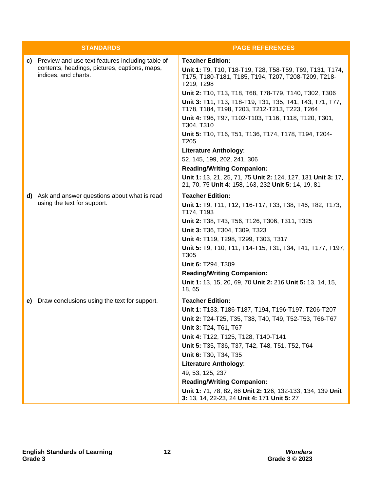|  | <b>STANDARDS</b>                                                      | <b>PAGE REFERENCES</b>                                                                                                        |
|--|-----------------------------------------------------------------------|-------------------------------------------------------------------------------------------------------------------------------|
|  | c) Preview and use text features including table of                   | <b>Teacher Edition:</b>                                                                                                       |
|  | contents, headings, pictures, captions, maps,<br>indices, and charts. | Unit 1: T9, T10, T18-T19, T28, T58-T59, T69, T131, T174,<br>T175, T180-T181, T185, T194, T207, T208-T209, T218-<br>T219, T298 |
|  |                                                                       | Unit 2: T10, T13, T18, T68, T78-T79, T140, T302, T306                                                                         |
|  |                                                                       | Unit 3: T11, T13, T18-T19, T31, T35, T41, T43, T71, T77,<br>T178, T184, T198, T203, T212-T213, T223, T264                     |
|  |                                                                       | Unit 4: T96, T97, T102-T103, T116, T118, T120, T301,<br>T304, T310                                                            |
|  |                                                                       | Unit 5: T10, T16, T51, T136, T174, T178, T194, T204-<br>T <sub>205</sub>                                                      |
|  |                                                                       | <b>Literature Anthology:</b>                                                                                                  |
|  |                                                                       | 52, 145, 199, 202, 241, 306                                                                                                   |
|  |                                                                       | <b>Reading/Writing Companion:</b>                                                                                             |
|  |                                                                       | Unit 1: 13, 21, 25, 71, 75 Unit 2: 124, 127, 131 Unit 3: 17,<br>21, 70, 75 Unit 4: 158, 163, 232 Unit 5: 14, 19, 81           |
|  | d) Ask and answer questions about what is read                        | <b>Teacher Edition:</b>                                                                                                       |
|  | using the text for support.                                           | Unit 1: T9, T11, T12, T16-T17, T33, T38, T46, T82, T173,<br>T174, T193                                                        |
|  |                                                                       | Unit 2: T38, T43, T56, T126, T306, T311, T325                                                                                 |
|  |                                                                       | Unit 3: T36, T304, T309, T323                                                                                                 |
|  |                                                                       | Unit 4: T119, T298, T299, T303, T317                                                                                          |
|  |                                                                       | Unit 5: T9, T10, T11, T14-T15, T31, T34, T41, T177, T197,<br>T305                                                             |
|  |                                                                       | Unit 6: T294, T309                                                                                                            |
|  |                                                                       | <b>Reading/Writing Companion:</b>                                                                                             |
|  |                                                                       | Unit 1: 13, 15, 20, 69, 70 Unit 2: 216 Unit 5: 13, 14, 15,<br>18,65                                                           |
|  | e) Draw conclusions using the text for support.                       | <b>Teacher Edition:</b>                                                                                                       |
|  |                                                                       | Unit 1: T133, T186-T187, T194, T196-T197, T206-T207                                                                           |
|  |                                                                       | Unit 2: T24-T25, T35, T38, T40, T49, T52-T53, T66-T67                                                                         |
|  |                                                                       | Unit 3: T24, T61, T67                                                                                                         |
|  |                                                                       | Unit 4: T122, T125, T128, T140-T141                                                                                           |
|  |                                                                       | Unit 5: T35, T36, T37, T42, T48, T51, T52, T64                                                                                |
|  |                                                                       | Unit 6: T30, T34, T35                                                                                                         |
|  |                                                                       | <b>Literature Anthology:</b>                                                                                                  |
|  |                                                                       | 49, 53, 125, 237                                                                                                              |
|  |                                                                       | <b>Reading/Writing Companion:</b>                                                                                             |
|  |                                                                       | Unit 1: 71, 78, 82, 86 Unit 2: 126, 132-133, 134, 139 Unit<br>3: 13, 14, 22-23, 24 Unit 4: 171 Unit 5: 27                     |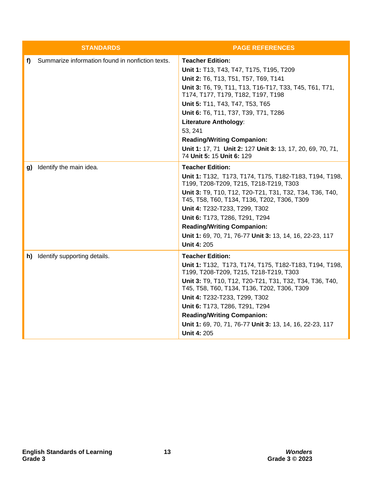|    | <b>STANDARDS</b>                                 | <b>PAGE REFERENCES</b>                                                                                                                                                                                                                                                                                                                                                                                                                                           |
|----|--------------------------------------------------|------------------------------------------------------------------------------------------------------------------------------------------------------------------------------------------------------------------------------------------------------------------------------------------------------------------------------------------------------------------------------------------------------------------------------------------------------------------|
| f) | Summarize information found in nonfiction texts. | <b>Teacher Edition:</b><br>Unit 1: T13, T43, T47, T175, T195, T209<br>Unit 2: T6, T13, T51, T57, T69, T141<br>Unit 3: T6, T9, T11, T13, T16-T17, T33, T45, T61, T71,<br>T174, T177, T179, T182, T197, T198<br>Unit 5: T11, T43, T47, T53, T65<br>Unit 6: T6, T11, T37, T39, T71, T286<br><b>Literature Anthology:</b><br>53, 241<br><b>Reading/Writing Companion:</b><br>Unit 1: 17, 71 Unit 2: 127 Unit 3: 13, 17, 20, 69, 70, 71,<br>74 Unit 5: 15 Unit 6: 129 |
|    | g) Identify the main idea.                       | <b>Teacher Edition:</b><br>Unit 1: T132, T173, T174, T175, T182-T183, T194, T198,<br>T199, T208-T209, T215, T218-T219, T303<br>Unit 3: T9, T10, T12, T20-T21, T31, T32, T34, T36, T40,<br>T45, T58, T60, T134, T136, T202, T306, T309<br>Unit 4: T232-T233, T299, T302<br>Unit 6: T173, T286, T291, T294<br><b>Reading/Writing Companion:</b><br>Unit 1: 69, 70, 71, 76-77 Unit 3: 13, 14, 16, 22-23, 117<br><b>Unit 4: 205</b>                                  |
|    | h) Identify supporting details.                  | <b>Teacher Edition:</b><br>Unit 1: T132, T173, T174, T175, T182-T183, T194, T198,<br>T199, T208-T209, T215, T218-T219, T303<br>Unit 3: T9, T10, T12, T20-T21, T31, T32, T34, T36, T40,<br>T45, T58, T60, T134, T136, T202, T306, T309<br>Unit 4: T232-T233, T299, T302<br>Unit 6: T173, T286, T291, T294<br><b>Reading/Writing Companion:</b><br>Unit 1: 69, 70, 71, 76-77 Unit 3: 13, 14, 16, 22-23, 117<br><b>Unit 4: 205</b>                                  |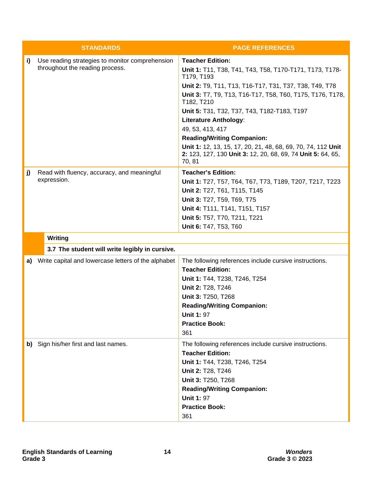|    | <b>STANDARDS</b>                                                                   | <b>PAGE REFERENCES</b>                                                                                                                                                                                                                                                                                                                                                                                                                                                                                                 |
|----|------------------------------------------------------------------------------------|------------------------------------------------------------------------------------------------------------------------------------------------------------------------------------------------------------------------------------------------------------------------------------------------------------------------------------------------------------------------------------------------------------------------------------------------------------------------------------------------------------------------|
| i) | Use reading strategies to monitor comprehension<br>throughout the reading process. | <b>Teacher Edition:</b><br>Unit 1: T11, T38, T41, T43, T58, T170-T171, T173, T178-<br>T179, T193<br>Unit 2: T9, T11, T13, T16-T17, T31, T37, T38, T49, T78<br>Unit 3: T7, T9, T13, T16-T17, T58, T60, T175, T176, T178,<br>T182, T210<br>Unit 5: T31, T32, T37, T43, T182-T183, T197<br><b>Literature Anthology:</b><br>49, 53, 413, 417<br><b>Reading/Writing Companion:</b><br>Unit 1: 12, 13, 15, 17, 20, 21, 48, 68, 69, 70, 74, 112 Unit<br>2: 123, 127, 130 Unit 3: 12, 20, 68, 69, 74 Unit 5: 64, 65,<br>70, 81 |
| j) | Read with fluency, accuracy, and meaningful<br>expression.                         | <b>Teacher's Edition:</b><br>Unit 1: T27, T57, T64, T67, T73, T189, T207, T217, T223<br>Unit 2: T27, T61, T115, T145<br>Unit 3: T27, T59, T69, T75<br>Unit 4: T111, T141, T151, T157<br>Unit 5: T57, T70, T211, T221<br>Unit 6: T47, T53, T60                                                                                                                                                                                                                                                                          |
|    | Writing                                                                            |                                                                                                                                                                                                                                                                                                                                                                                                                                                                                                                        |
|    | 3.7 The student will write legibly in cursive.                                     |                                                                                                                                                                                                                                                                                                                                                                                                                                                                                                                        |
|    | a) Write capital and lowercase letters of the alphabet                             | The following references include cursive instructions.<br><b>Teacher Edition:</b><br>Unit 1: T44, T238, T246, T254<br>Unit 2: T28, T246<br>Unit 3: T250, T268<br><b>Reading/Writing Companion:</b><br><b>Unit 1: 97</b><br><b>Practice Book:</b><br>361                                                                                                                                                                                                                                                                |
|    | b) Sign his/her first and last names.                                              | The following references include cursive instructions.<br><b>Teacher Edition:</b><br>Unit 1: T44, T238, T246, T254<br>Unit 2: T28, T246<br>Unit 3: T250, T268<br><b>Reading/Writing Companion:</b><br><b>Unit 1: 97</b><br><b>Practice Book:</b><br>361                                                                                                                                                                                                                                                                |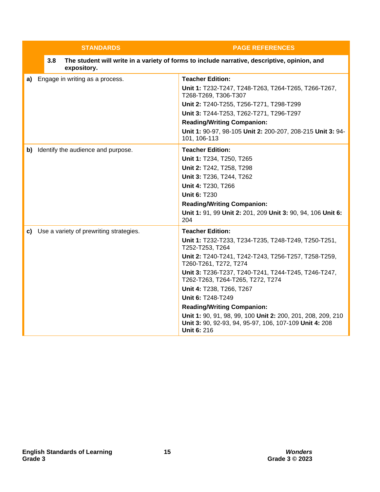| <b>STANDARDS</b>                           | <b>PAGE REFERENCES</b>                                                                                                                                                                                                                                                                                                                                                                                                                                                                                            |
|--------------------------------------------|-------------------------------------------------------------------------------------------------------------------------------------------------------------------------------------------------------------------------------------------------------------------------------------------------------------------------------------------------------------------------------------------------------------------------------------------------------------------------------------------------------------------|
| 3.8<br>expository.                         | The student will write in a variety of forms to include narrative, descriptive, opinion, and                                                                                                                                                                                                                                                                                                                                                                                                                      |
| a) Engage in writing as a process.         | <b>Teacher Edition:</b><br>Unit 1: T232-T247, T248-T263, T264-T265, T266-T267,<br>T268-T269, T306-T307<br>Unit 2: T240-T255, T256-T271, T298-T299<br>Unit 3: T244-T253, T262-T271, T296-T297<br><b>Reading/Writing Companion:</b><br>Unit 1: 90-97, 98-105 Unit 2: 200-207, 208-215 Unit 3: 94-<br>101, 106-113                                                                                                                                                                                                   |
| b) Identify the audience and purpose.      | <b>Teacher Edition:</b><br>Unit 1: T234, T250, T265<br>Unit 2: T242, T258, T298<br>Unit 3: T236, T244, T262<br>Unit 4: T230, T266<br><b>Unit 6: T230</b><br><b>Reading/Writing Companion:</b><br>Unit 1: 91, 99 Unit 2: 201, 209 Unit 3: 90, 94, 106 Unit 6:<br>204                                                                                                                                                                                                                                               |
| c) Use a variety of prewriting strategies. | <b>Teacher Edition:</b><br>Unit 1: T232-T233, T234-T235, T248-T249, T250-T251,<br>T252-T253, T264<br>Unit 2: T240-T241, T242-T243, T256-T257, T258-T259,<br>T260-T261, T272, T274<br>Unit 3: T236-T237, T240-T241, T244-T245, T246-T247,<br>T262-T263, T264-T265, T272, T274<br>Unit 4: T238, T266, T267<br>Unit 6: T248-T249<br><b>Reading/Writing Companion:</b><br>Unit 1: 90, 91, 98, 99, 100 Unit 2: 200, 201, 208, 209, 210<br>Unit 3: 90, 92-93, 94, 95-97, 106, 107-109 Unit 4: 208<br><b>Unit 6: 216</b> |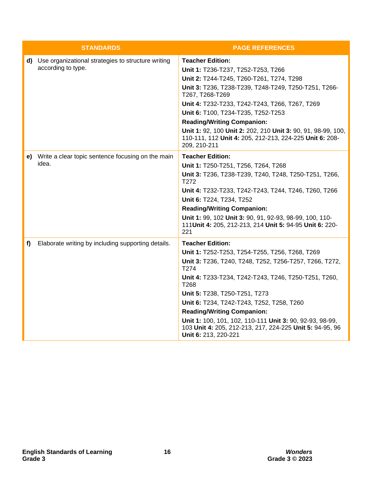|    | <b>STANDARDS</b>                                                            | <b>PAGE REFERENCES</b>                                                                                                                                                                                                                                                                                                                                                                                                                                                         |
|----|-----------------------------------------------------------------------------|--------------------------------------------------------------------------------------------------------------------------------------------------------------------------------------------------------------------------------------------------------------------------------------------------------------------------------------------------------------------------------------------------------------------------------------------------------------------------------|
|    | d) Use organizational strategies to structure writing<br>according to type. | <b>Teacher Edition:</b><br>Unit 1: T236-T237, T252-T253, T266<br>Unit 2: T244-T245, T260-T261, T274, T298<br>Unit 3: T236, T238-T239, T248-T249, T250-T251, T266-<br>T267, T268-T269<br>Unit 4: T232-T233, T242-T243, T266, T267, T269<br>Unit 6: T100, T234-T235, T252-T253<br><b>Reading/Writing Companion:</b><br>Unit 1: 92, 100 Unit 2: 202, 210 Unit 3: 90, 91, 98-99, 100,<br>110-111, 112 Unit 4: 205, 212-213, 224-225 Unit 6: 208-<br>209, 210-211                   |
| e) | Write a clear topic sentence focusing on the main<br>idea.                  | <b>Teacher Edition:</b><br>Unit 1: T250-T251, T256, T264, T268<br>Unit 3: T236, T238-T239, T240, T248, T250-T251, T266,<br>T <sub>272</sub><br>Unit 4: T232-T233, T242-T243, T244, T246, T260, T266<br>Unit 6: T224, T234, T252<br><b>Reading/Writing Companion:</b><br>Unit 1: 99, 102 Unit 3: 90, 91, 92-93, 98-99, 100, 110-<br>111 Unit 4: 205, 212-213, 214 Unit 5: 94-95 Unit 6: 220-<br>221                                                                             |
| f) | Elaborate writing by including supporting details.                          | <b>Teacher Edition:</b><br>Unit 1: T252-T253, T254-T255, T256, T268, T269<br>Unit 3: T236, T240, T248, T252, T256-T257, T266, T272,<br>T274<br>Unit 4: T233-T234, T242-T243, T246, T250-T251, T260,<br>T268<br>Unit 5: T238, T250-T251, T273<br>Unit 6: T234, T242-T243, T252, T258, T260<br><b>Reading/Writing Companion:</b><br>Unit 1: 100, 101, 102, 110-111 Unit 3: 90, 92-93, 98-99,<br>103 Unit 4: 205, 212-213, 217, 224-225 Unit 5: 94-95, 96<br>Unit 6: 213, 220-221 |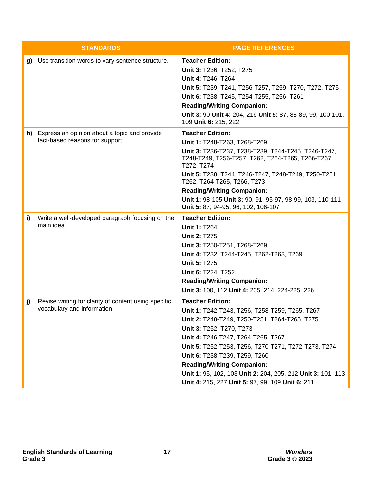|    | <b>STANDARDS</b>                                                                    | <b>PAGE REFERENCES</b>                                                                                                                                                                                                                                                                                                                                                                                                                       |
|----|-------------------------------------------------------------------------------------|----------------------------------------------------------------------------------------------------------------------------------------------------------------------------------------------------------------------------------------------------------------------------------------------------------------------------------------------------------------------------------------------------------------------------------------------|
|    | g) Use transition words to vary sentence structure.                                 | <b>Teacher Edition:</b><br>Unit 3: T236, T252, T275<br>Unit 4: T246, T264<br>Unit 5: T239, T241, T256-T257, T259, T270, T272, T275<br>Unit 6: T238, T245, T254-T255, T256, T261<br><b>Reading/Writing Companion:</b><br>Unit 3: 90 Unit 4: 204, 216 Unit 5: 87, 88-89, 99, 100-101,<br>109 Unit 6: 215, 222                                                                                                                                  |
|    | h) Express an opinion about a topic and provide<br>fact-based reasons for support.  | <b>Teacher Edition:</b><br>Unit 1: T248-T263, T268-T269<br>Unit 3: T236-T237, T238-T239, T244-T245, T246-T247,<br>T248-T249, T256-T257, T262, T264-T265, T266-T267,<br>T272, T274<br>Unit 5: T238, T244, T246-T247, T248-T249, T250-T251,<br>T262, T264-T265, T266, T273<br><b>Reading/Writing Companion:</b><br>Unit 1: 98-105 Unit 3: 90, 91, 95-97, 98-99, 103, 110-111<br>Unit 5: 87, 94-95, 96, 102, 106-107                            |
| i) | Write a well-developed paragraph focusing on the<br>main idea.                      | <b>Teacher Edition:</b><br><b>Unit 1: T264</b><br><b>Unit 2: T275</b><br>Unit 3: T250-T251, T268-T269<br>Unit 4: T232, T244-T245, T262-T263, T269<br><b>Unit 5: T275</b><br>Unit 6: T224, T252<br><b>Reading/Writing Companion:</b><br>Unit 3: 100, 112 Unit 4: 205, 214, 224-225, 226                                                                                                                                                       |
| j) | Revise writing for clarity of content using specific<br>vocabulary and information. | <b>Teacher Edition:</b><br>Unit 1: T242-T243, T256, T258-T259, T265, T267<br>Unit 2: T248-T249, T250-T251, T264-T265, T275<br>Unit 3: T252, T270, T273<br>Unit 4: T246-T247, T264-T265, T267<br>Unit 5: T252-T253, T256, T270-T271, T272-T273, T274<br>Unit 6: T238-T239, T259, T260<br><b>Reading/Writing Companion:</b><br>Unit 1: 95, 102, 103 Unit 2: 204, 205, 212 Unit 3: 101, 113<br>Unit 4: 215, 227 Unit 5: 97, 99, 109 Unit 6: 211 |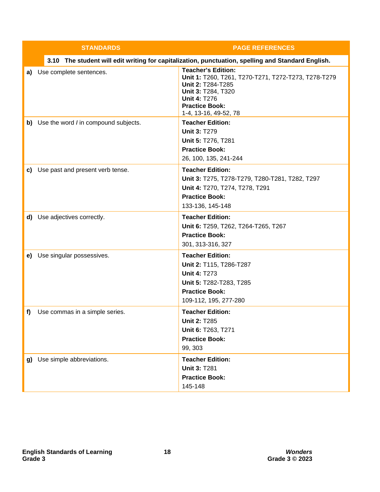|    | <b>STANDARDS</b>                        | <b>PAGE REFERENCES</b>                                                                                                                                                                               |
|----|-----------------------------------------|------------------------------------------------------------------------------------------------------------------------------------------------------------------------------------------------------|
|    |                                         | 3.10 The student will edit writing for capitalization, punctuation, spelling and Standard English.                                                                                                   |
| a) | Use complete sentences.                 | <b>Teacher's Edition:</b><br>Unit 1: T260, T261, T270-T271, T272-T273, T278-T279<br>Unit 2: T284-T285<br>Unit 3: T284, T320<br><b>Unit 4: T276</b><br><b>Practice Book:</b><br>1-4, 13-16, 49-52, 78 |
|    | b) Use the word / in compound subjects. | <b>Teacher Edition:</b><br><b>Unit 3: T279</b><br>Unit 5: T276, T281<br><b>Practice Book:</b><br>26, 100, 135, 241-244                                                                               |
|    | c) Use past and present verb tense.     | <b>Teacher Edition:</b><br>Unit 3: T275, T278-T279, T280-T281, T282, T297<br>Unit 4: T270, T274, T278, T291<br><b>Practice Book:</b><br>133-136, 145-148                                             |
|    | d) Use adjectives correctly.            | <b>Teacher Edition:</b><br>Unit 6: T259, T262, T264-T265, T267<br><b>Practice Book:</b><br>301, 313-316, 327                                                                                         |
|    | e) Use singular possessives.            | <b>Teacher Edition:</b><br>Unit 2: T115, T286-T287<br><b>Unit 4: T273</b><br>Unit 5: T282-T283, T285<br><b>Practice Book:</b><br>109-112, 195, 277-280                                               |
| f) | Use commas in a simple series.          | <b>Teacher Edition:</b><br><b>Unit 2: T285</b><br>Unit 6: T263, T271<br><b>Practice Book:</b><br>99, 303                                                                                             |
|    | g) Use simple abbreviations.            | <b>Teacher Edition:</b><br><b>Unit 3: T281</b><br><b>Practice Book:</b><br>145-148                                                                                                                   |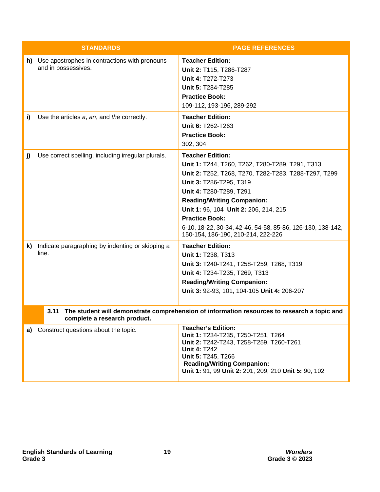|    | <b>STANDARDS</b>                                                        | <b>PAGE REFERENCES</b>                                                                                                                                                                                                                                                                                                                                                                              |
|----|-------------------------------------------------------------------------|-----------------------------------------------------------------------------------------------------------------------------------------------------------------------------------------------------------------------------------------------------------------------------------------------------------------------------------------------------------------------------------------------------|
|    | h) Use apostrophes in contractions with pronouns<br>and in possessives. | <b>Teacher Edition:</b><br>Unit 2: T115, T286-T287<br>Unit 4: T272-T273<br>Unit 5: T284-T285<br><b>Practice Book:</b><br>109-112, 193-196, 289-292                                                                                                                                                                                                                                                  |
| i) | Use the articles a, an, and the correctly.                              | <b>Teacher Edition:</b><br>Unit 6: T262-T263<br><b>Practice Book:</b><br>302, 304                                                                                                                                                                                                                                                                                                                   |
| j) | Use correct spelling, including irregular plurals.                      | <b>Teacher Edition:</b><br>Unit 1: T244, T260, T262, T280-T289, T291, T313<br>Unit 2: T252, T268, T270, T282-T283, T288-T297, T299<br>Unit 3: T286-T295, T319<br>Unit 4: T280-T289, T291<br><b>Reading/Writing Companion:</b><br>Unit 1: 96, 104 Unit 2: 206, 214, 215<br><b>Practice Book:</b><br>6-10, 18-22, 30-34, 42-46, 54-58, 85-86, 126-130, 138-142,<br>150-154, 186-190, 210-214, 222-226 |
| k) | Indicate paragraphing by indenting or skipping a<br>line.               | <b>Teacher Edition:</b><br>Unit 1: T238, T313<br>Unit 3: T240-T241, T258-T259, T268, T319<br>Unit 4: T234-T235, T269, T313<br><b>Reading/Writing Companion:</b><br>Unit 3: 92-93, 101, 104-105 Unit 4: 206-207                                                                                                                                                                                      |
|    | 3.11<br>complete a research product.                                    | The student will demonstrate comprehension of information resources to research a topic and                                                                                                                                                                                                                                                                                                         |
|    | a) Construct questions about the topic.                                 | <b>Teacher's Edition:</b><br>Unit 1: T234-T235, T250-T251, T264<br>Unit 2: T242-T243, T258-T259, T260-T261<br><b>Unit 4: T242</b><br>Unit 5: T245, T266<br><b>Reading/Writing Companion:</b><br>Unit 1: 91, 99 Unit 2: 201, 209, 210 Unit 5: 90, 102                                                                                                                                                |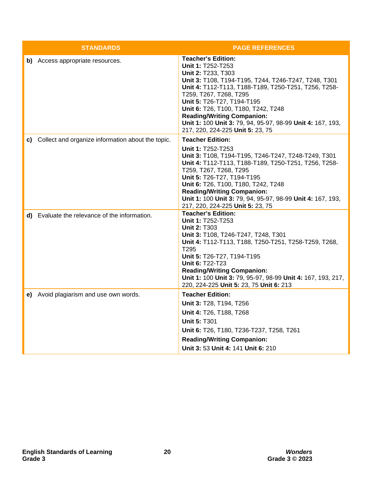| <b>STANDARDS</b>                                     | <b>PAGE REFERENCES</b>                                                                                                                                                                                                                                                                                                                                                                                                     |
|------------------------------------------------------|----------------------------------------------------------------------------------------------------------------------------------------------------------------------------------------------------------------------------------------------------------------------------------------------------------------------------------------------------------------------------------------------------------------------------|
| b) Access appropriate resources.                     | <b>Teacher's Edition:</b><br>Unit 1: T252-T253<br>Unit 2: T233, T303<br>Unit 3: T108, T194-T195, T244, T246-T247, T248, T301<br>Unit 4: T112-T113, T188-T189, T250-T251, T256, T258-<br>T259, T267, T268, T295<br>Unit 5: T26-T27, T194-T195<br>Unit 6: T26, T100, T180, T242, T248<br><b>Reading/Writing Companion:</b><br>Unit 1: 100 Unit 3: 79, 94, 95-97, 98-99 Unit 4: 167, 193,<br>217, 220, 224-225 Unit 5: 23, 75 |
| c) Collect and organize information about the topic. | <b>Teacher Edition:</b><br>Unit 1: T252-T253<br>Unit 3: T108, T194-T195, T246-T247, T248-T249, T301<br>Unit 4: T112-T113, T188-T189, T250-T251, T256, T258-<br>T259, T267, T268, T295<br>Unit 5: T26-T27, T194-T195<br>Unit 6: T26, T100, T180, T242, T248<br><b>Reading/Writing Companion:</b><br>Unit 1: 100 Unit 3: 79, 94, 95-97, 98-99 Unit 4: 167, 193,<br>217, 220, 224-225 Unit 5: 23, 75                          |
| d) Evaluate the relevance of the information.        | <b>Teacher's Edition:</b><br>Unit 1: T252-T253<br><b>Unit 2: T303</b><br>Unit 3: T108, T246-T247, T248, T301<br>Unit 4: T112-T113, T188, T250-T251, T258-T259, T268,<br>T295<br>Unit 5: T26-T27, T194-T195<br>Unit 6: T22-T23<br><b>Reading/Writing Companion:</b><br>Unit 1: 100 Unit 3: 79, 95-97, 98-99 Unit 4: 167, 193, 217,<br>220, 224-225 Unit 5: 23, 75 Unit 6: 213                                               |
| e) Avoid plagiarism and use own words.               | <b>Teacher Edition:</b><br>Unit 3: T28, T194, T256<br>Unit 4: T26, T188, T268<br><b>Unit 5: T301</b><br>Unit 6: T26, T180, T236-T237, T258, T261<br><b>Reading/Writing Companion:</b><br>Unit 3: 53 Unit 4: 141 Unit 6: 210                                                                                                                                                                                                |